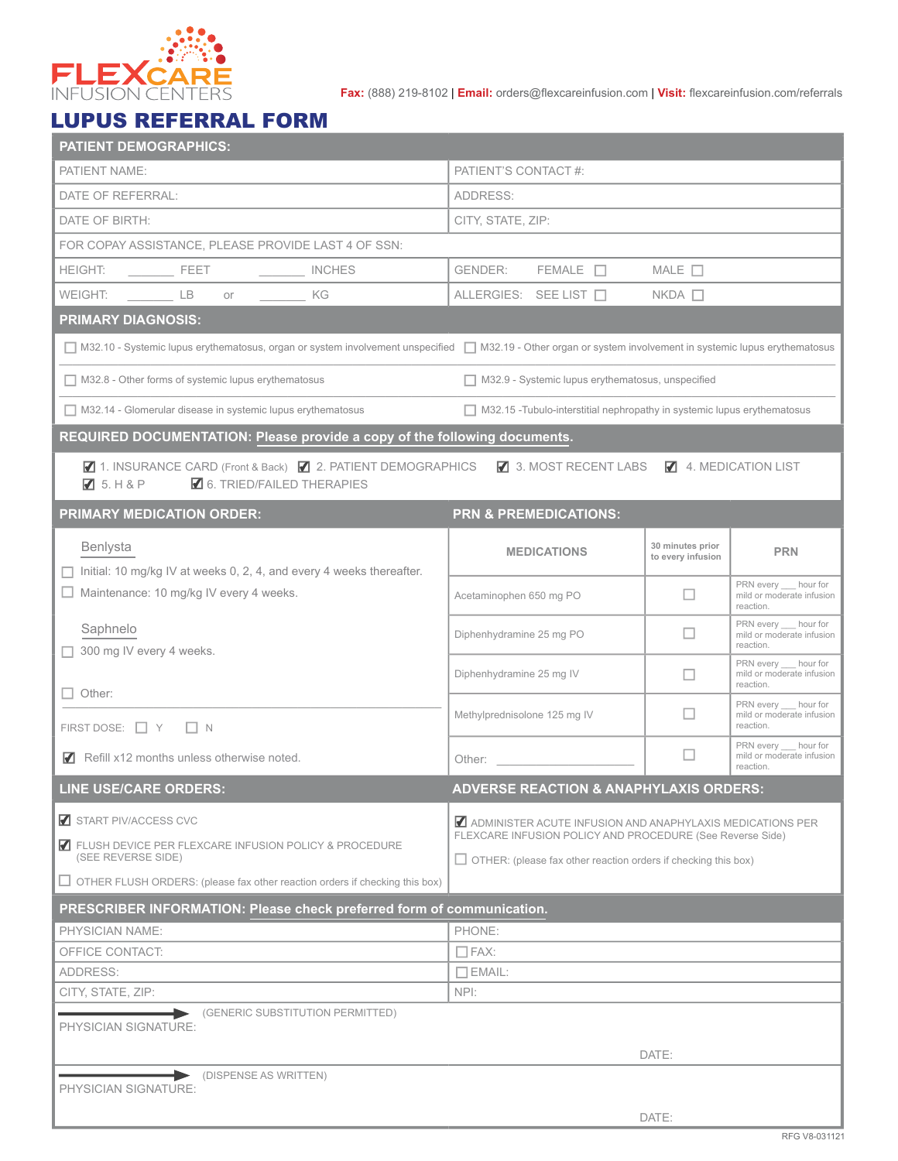

**Fax:** (888) 219-8102 | **Email:** orders@flexcareinfusion.com | **Visit:** flexcareinfusion.com/referrals

## LUPUS REFERRAL FORM

| <b>PATIENT DEMOGRAPHICS:</b>                                                                                                                                                                                                                                                       |                                                                                                                        |                                       |                                                                  |  |  |  |  |  |
|------------------------------------------------------------------------------------------------------------------------------------------------------------------------------------------------------------------------------------------------------------------------------------|------------------------------------------------------------------------------------------------------------------------|---------------------------------------|------------------------------------------------------------------|--|--|--|--|--|
| PATIENT NAME:                                                                                                                                                                                                                                                                      | PATIENT'S CONTACT #:                                                                                                   |                                       |                                                                  |  |  |  |  |  |
| DATE OF REFERRAL:                                                                                                                                                                                                                                                                  | ADDRESS:                                                                                                               |                                       |                                                                  |  |  |  |  |  |
| DATE OF BIRTH:                                                                                                                                                                                                                                                                     | CITY, STATE, ZIP:                                                                                                      |                                       |                                                                  |  |  |  |  |  |
| FOR COPAY ASSISTANCE, PLEASE PROVIDE LAST 4 OF SSN:                                                                                                                                                                                                                                |                                                                                                                        |                                       |                                                                  |  |  |  |  |  |
| INCHES                                                                                                                                                                                                                                                                             | GENDER:<br>$FEMALE$ $\Box$                                                                                             | MALE $\Box$                           |                                                                  |  |  |  |  |  |
| WEIGHT: ____ LB<br>$or$ and $or$ and $or$ and $or$ and $or$ and $or$ and $or$ and $or$ and $or$ and $or$ and $or$ and $or$ and $or$ and $or$ and $or$ and $or$ and $or$ and $or$ and $or$ and $or$ and $or$ and $or$ and $or$ and $or$ and $or$ and $or$ and $or$ and $or$ a<br>KG | ALLERGIES: SEE LIST □                                                                                                  | $NKDA$ $\Box$                         |                                                                  |  |  |  |  |  |
| <b>PRIMARY DIAGNOSIS:</b>                                                                                                                                                                                                                                                          |                                                                                                                        |                                       |                                                                  |  |  |  |  |  |
| □ M32.10 - Systemic lupus erythematosus, organ or system involvement unspecified □ M32.19 - Other organ or system involvement in systemic lupus erythematosus                                                                                                                      |                                                                                                                        |                                       |                                                                  |  |  |  |  |  |
| $\Box$ M32.8 - Other forms of systemic lupus erythematosus                                                                                                                                                                                                                         | $\Box$ M32.9 - Systemic lupus erythematosus, unspecified                                                               |                                       |                                                                  |  |  |  |  |  |
| $\Box$ M32.14 - Glomerular disease in systemic lupus erythematosus                                                                                                                                                                                                                 | $\Box$ M32.15 - Tubulo-interstitial nephropathy in systemic lupus erythematosus                                        |                                       |                                                                  |  |  |  |  |  |
| REQUIRED DOCUMENTATION: Please provide a copy of the following documents.                                                                                                                                                                                                          |                                                                                                                        |                                       |                                                                  |  |  |  |  |  |
| ■ 1. INSURANCE CARD (Front & Back) ■ 2. PATIENT DEMOGRAPHICS ■ 3. MOST RECENT LABS ■ 4. MEDICATION LIST<br>$\blacksquare$ 6. TRIED/FAILED THERAPIES<br>$\sqrt{3}$ 5. H & P                                                                                                         |                                                                                                                        |                                       |                                                                  |  |  |  |  |  |
| <b>PRIMARY MEDICATION ORDER:</b>                                                                                                                                                                                                                                                   | <b>PRN &amp; PREMEDICATIONS:</b>                                                                                       |                                       |                                                                  |  |  |  |  |  |
| Benlysta                                                                                                                                                                                                                                                                           | <b>MEDICATIONS</b>                                                                                                     | 30 minutes prior<br>to every infusion | <b>PRN</b>                                                       |  |  |  |  |  |
| Initial: 10 mg/kg IV at weeks 0, 2, 4, and every 4 weeks thereafter.<br>Maintenance: 10 mg/kg IV every 4 weeks.                                                                                                                                                                    | Acetaminophen 650 mg PO                                                                                                | □                                     | PRN every __ hour for<br>mild or moderate infusion<br>reaction.  |  |  |  |  |  |
| Saphnelo<br>300 mg IV every 4 weeks.                                                                                                                                                                                                                                               | Diphenhydramine 25 mg PO                                                                                               | □                                     | PRN every ___ hour for<br>mild or moderate infusion<br>reaction. |  |  |  |  |  |
| $\Box$ Other:                                                                                                                                                                                                                                                                      | Diphenhydramine 25 mg IV                                                                                               | П                                     | PRN every __ hour for<br>mild or moderate infusion<br>reaction.  |  |  |  |  |  |
| FIRST DOSE: $\Box$ Y $\Box$ N                                                                                                                                                                                                                                                      | Methylprednisolone 125 mg IV                                                                                           | □                                     | PRN every __ hour for<br>mild or moderate infusion<br>reaction.  |  |  |  |  |  |
| $\blacksquare$ Refill x12 months unless otherwise noted.                                                                                                                                                                                                                           | Other:                                                                                                                 | □                                     | PRN every hour for<br>mild or moderate infusion<br>reaction.     |  |  |  |  |  |
| <b>ADVERSE REACTION &amp; ANAPHYLAXIS ORDERS:</b><br><b>LINE USE/CARE ORDERS:</b>                                                                                                                                                                                                  |                                                                                                                        |                                       |                                                                  |  |  |  |  |  |
| START PIV/ACCESS CVC<br>FLUSH DEVICE PER FLEXCARE INFUSION POLICY & PROCEDURE                                                                                                                                                                                                      | ADMINISTER ACUTE INFUSION AND ANAPHYLAXIS MEDICATIONS PER<br>FLEXCARE INFUSION POLICY AND PROCEDURE (See Reverse Side) |                                       |                                                                  |  |  |  |  |  |
| (SEE REVERSE SIDE)<br>$\Box$ OTHER FLUSH ORDERS: (please fax other reaction orders if checking this box)                                                                                                                                                                           | $\Box$ OTHER: (please fax other reaction orders if checking this box)                                                  |                                       |                                                                  |  |  |  |  |  |
| PRESCRIBER INFORMATION: Please check preferred form of communication.                                                                                                                                                                                                              |                                                                                                                        |                                       |                                                                  |  |  |  |  |  |
| PHYSICIAN NAME:                                                                                                                                                                                                                                                                    | PHONE:                                                                                                                 |                                       |                                                                  |  |  |  |  |  |
| OFFICE CONTACT:                                                                                                                                                                                                                                                                    | $\Box$ FAX:                                                                                                            |                                       |                                                                  |  |  |  |  |  |
| ADDRESS:                                                                                                                                                                                                                                                                           | $\Box$ EMAIL:                                                                                                          |                                       |                                                                  |  |  |  |  |  |
| CITY, STATE, ZIP:<br>(GENERIC SUBSTITUTION PERMITTED)                                                                                                                                                                                                                              | NPI:                                                                                                                   |                                       |                                                                  |  |  |  |  |  |
| PHYSICIAN SIGNATURE:                                                                                                                                                                                                                                                               | DATE:                                                                                                                  |                                       |                                                                  |  |  |  |  |  |
| DISPENSE AS WRITTEN)<br>PHYSICIAN SIGNATURE:                                                                                                                                                                                                                                       |                                                                                                                        |                                       |                                                                  |  |  |  |  |  |
|                                                                                                                                                                                                                                                                                    |                                                                                                                        | DATE:                                 |                                                                  |  |  |  |  |  |
|                                                                                                                                                                                                                                                                                    |                                                                                                                        |                                       |                                                                  |  |  |  |  |  |